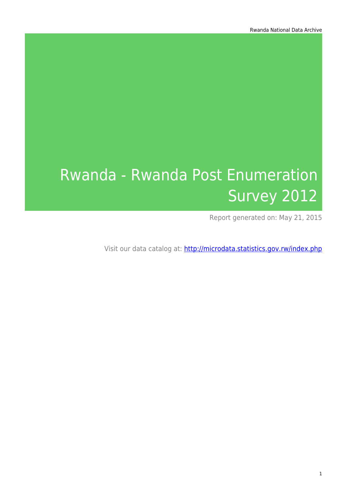# Rwanda - Rwanda Post Enumeration Survey 2012

Report generated on: May 21, 2015

Visit our data catalog at: http://microdata.statistics.gov.rw/index.php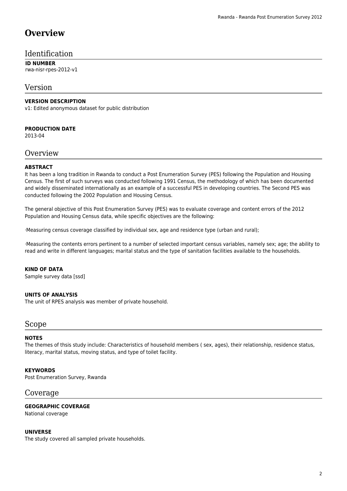# **Overview**

### Identification

**ID NUMBER** rwa-nisr-rpes-2012-v1

### Version

### **VERSION DESCRIPTION**

v1: Edited anonymous dataset for public distribution

#### **PRODUCTION DATE**

2013-04

### **Overview**

### **ABSTRACT**

It has been a long tradition in Rwanda to conduct a Post Enumeration Survey (PES) following the Population and Housing Census. The first of such surveys was conducted following 1991 Census, the methodology of which has been documented and widely disseminated internationally as an example of a successful PES in developing countries. The Second PES was conducted following the 2002 Population and Housing Census.

The general objective of this Post Enumeration Survey (PES) was to evaluate coverage and content errors of the 2012 Population and Housing Census data, while specific objectives are the following:

·Measuring census coverage classified by individual sex, age and residence type (urban and rural);

·Measuring the contents errors pertinent to a number of selected important census variables, namely sex; age; the ability to read and write in different languages; marital status and the type of sanitation facilities available to the households.

**KIND OF DATA** Sample survey data [ssd]

#### **UNITS OF ANALYSIS**

The unit of RPES analysis was member of private household.

### Scope

#### **NOTES**

The themes of thsis study include: Characteristics of household members ( sex, ages), their relationship, residence status, literacy, marital status, moving status, and type of toilet facility.

#### **KEYWORDS**

Post Enumeration Survey, Rwanda

### Coverage

### **GEOGRAPHIC COVERAGE**

National coverage

#### **UNIVERSE**

The study covered all sampled private households.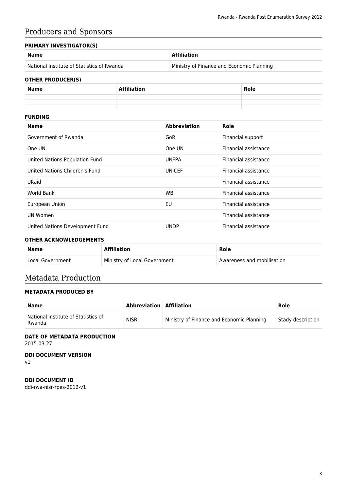# Producers and Sponsors

### **PRIMARY INVESTIGATOR(S)**

| <b>Name</b>                                | <b>Affiliation</b>                        |
|--------------------------------------------|-------------------------------------------|
| National Institute of Statistics of Rwanda | Ministry of Finance and Economic Planning |

#### **OTHER PRODUCER(S)**

| <b>Name</b> | <b>Affiliation</b> | Role |
|-------------|--------------------|------|
|             |                    |      |
|             |                    |      |
|             |                    |      |

#### **FUNDING**

| <b>Name</b>                     | <b>Abbreviation</b> | Role                 |
|---------------------------------|---------------------|----------------------|
| Government of Rwanda            | GoR                 | Financial support    |
| One UN                          | One UN              | Financial assistance |
| United Nations Population Fund  | <b>UNFPA</b>        | Financial assistance |
| United Nations Children's Fund  | <b>UNICEF</b>       | Financial assistance |
| <b>UKaid</b>                    |                     | Financial assistance |
| World Bank                      | WB.                 | Financial assistance |
| European Union                  | EU                  | Financial assistance |
| UN Women                        |                     | Financial assistance |
| United Nations Development Fund | <b>UNDP</b>         | Financial assistance |

### **OTHER ACKNOWLEDGEMENTS**

| <b>Name</b>      |                              | Role                       |
|------------------|------------------------------|----------------------------|
| Local Government | Ministry of Local Government | Awareness and mobilisation |

# Metadata Production

### **METADATA PRODUCED BY**

| <b>Name</b>                                   | Abbreviation   Affiliation |                                           | Role              |
|-----------------------------------------------|----------------------------|-------------------------------------------|-------------------|
| National institute of Statistics of<br>Rwanda | <b>NISR</b>                | Ministry of Finance and Economic Planning | Stady description |

### **DATE OF METADATA PRODUCTION**

2015-03-27

### **DDI DOCUMENT VERSION**

v1

### **DDI DOCUMENT ID**

ddi-rwa-nisr-rpes-2012-v1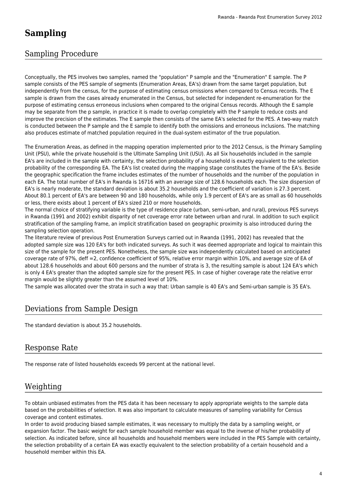# **Sampling**

# Sampling Procedure

Conceptually, the PES involves two samples, named the "population" P sample and the "Enumeration" E sample. The P sample consists of the PES sample of segments (Enumeration Areas, EA's) drawn from the same target population, but independently from the census, for the purpose of estimating census omissions when compared to Census records. The E sample is drawn from the cases already enumerated in the Census, but selected for independent re-enumeration for the purpose of estimating census erroneous inclusions when compared to the original Census records. Although the E sample may be separate from the p sample, in practice it is made to overlap completely with the P sample to reduce costs and improve the precision of the estimates. The E sample then consists of the same EA's selected for the PES. A two-way match is conducted between the P sample and the E sample to identify both the omissions and erroneous inclusions. The matching also produces estimate of matched population required in the dual-system estimator of the true population.

The Enumeration Areas, as defined in the mapping operation implemented prior to the 2012 Census, is the Primary Sampling Unit (PSU), while the private household is the Ultimate Sampling Unit (USU). As all Six households included in the sample EA's are included in the sample with certainty, the selection probability of a household is exactly equivalent to the selection probability of the corresponding EA. The EA's list created during the mapping stage constitutes the frame of the EA's. Beside the geographic specification the frame includes estimates of the number of households and the number of the population in each EA. The total number of EA's in Rwanda is 16716 with an average size of 128.6 households each. The size dispersion of EA's is nearly moderate, the standard deviation is about 35.2 households and the coefficient of variation is 27.3 percent. About 80.1 percent of EA's are between 90 and 180 households, while only 1.9 percent of EA's are as small as 60 households or less, there exists about 1 percent of EA's sized 210 or more households.

The normal choice of stratifying variable is the type of residence place (urban, semi-urban, and rural), previous PES surveys in Rwanda (1991 and 2002) exhibit disparity of net coverage error rate between urban and rural. In addition to such explicit stratification of the sampling frame, an implicit stratification based on geographic proximity is also introduced during the sampling selection operation.

The literature review of previous Post Enumeration Surveys carried out in Rwanda (1991, 2002) has revealed that the adopted sample size was 120 EA's for both indicated surveys. As such it was deemed appropriate and logical to maintain this size of the sample for the present PES. Nonetheless, the sample size was independently calculated based on anticipated coverage rate of 97%, deff =2, confidence coefficient of 95%, relative error margin within 10%, and average size of EA of about 128.6 households and about 600 persons and the number of strata is 3, the resulting sample is about 124 EA's which is only 4 EA's greater than the adopted sample size for the present PES. In case of higher coverage rate the relative error margin would be slightly greater than the assumed level of 10%.

The sample was allocated over the strata in such a way that: Urban sample is 40 EA's and Semi-urban sample is 35 EA's.

# Deviations from Sample Design

The standard deviation is about 35.2 households.

### Response Rate

The response rate of listed households exceeds 99 percent at the national level.

### Weighting

To obtain unbiased estimates from the PES data it has been necessary to apply appropriate weights to the sample data based on the probabilities of selection. It was also important to calculate measures of sampling variability for Census coverage and content estimates.

In order to avoid producing biased sample estimates, it was necessary to multiply the data by a sampling weight, or expansion factor. The basic weight for each sample household member was equal to the inverse of his/her probability of selection. As indicated before, since all households and household members were included in the PES Sample with certainty, the selection probability of a certain EA was exactly equivalent to the selection probability of a certain household and a household member within this EA.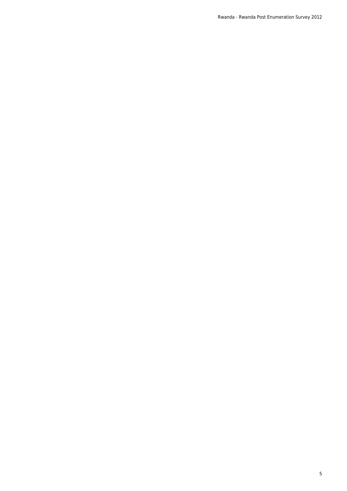Rwanda - Rwanda Post Enumeration Survey 2012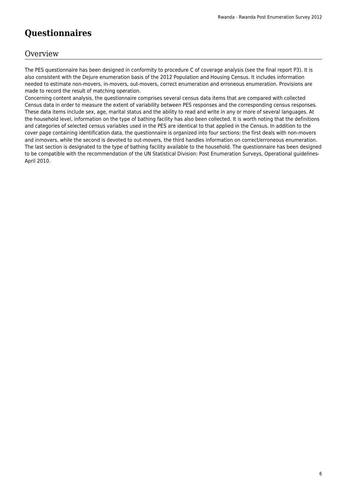# **Questionnaires**

### **Overview**

The PES questionnaire has been designed in conformity to procedure C of coverage analysis (see the final report P3). It is also consistent with the Dejure enumeration basis of the 2012 Population and Housing Census. It includes information needed to estimate non-movers, in-movers, out-movers, correct enumeration and erroneous enumeration. Provisions are made to record the result of matching operation.

Concerning content analysis, the questionnaire comprises several census data items that are compared with collected Census data in order to measure the extent of variability between PES responses and the corresponding census responses. These data items include sex, age, marital status and the ability to read and write in any or more of several languages. At the household level, information on the type of bathing facility has also been collected. It is worth noting that the definitions and categories of selected census variables used in the PES are identical to that applied in the Census. In addition to the cover page containing identification data, the questionnaire is organized into four sections: the first deals with non-movers and inmovers, while the second is devoted to out-movers, the third handles information on correct/erroneous enumeration. The last section is designated to the type of bathing facility available to the household. The questionnaire has been designed to be compatible with the recommendation of the UN Statistical Division: Post Enumeration Surveys, Operational guidelines-April 2010.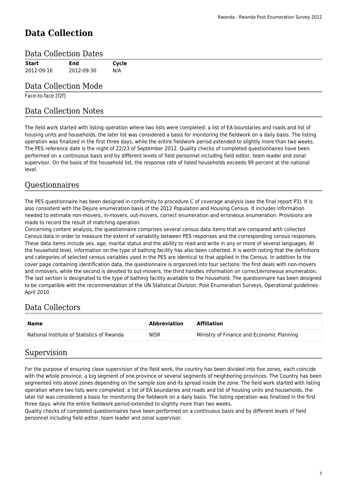# **Data Collection**

### Data Collection Dates

### Data Collection Mode

Face-to-face [f2f]

### Data Collection Notes

The field work started with listing operation where two lists were completed: a list of EA boundaries and roads and list of housing units and households, the later list was considered a basis for monitoring the fieldwork on a daily basis. The listing operation was finalized in the first three days, while the entire fieldwork period extended to slightly more than two weeks. The PES reference date is the night of 22/23 of September 2012. Quality checks of completed questionnaires have been performed on a continuous basis and by different levels of field personnel including field editor, team leader and zonal supervisor. On the basis of the household list, the response rate of listed households exceeds 99 percent at the national level.

# Questionnaires

The PES questionnaire has been designed in conformity to procedure C of coverage analysis (see the final report P3). It is also consistent with the Dejure enumeration basis of the 2012 Population and Housing Census. It includes information needed to estimate non-movers, in-movers, out-movers, correct enumeration and erroneous enumeration. Provisions are made to record the result of matching operation.

Concerning content analysis, the questionnaire comprises several census data items that are compared with collected Census data in order to measure the extent of variability between PES responses and the corresponding census responses. These data items include sex, age, marital status and the ability to read and write in any or more of several languages. At the household level, information on the type of bathing facility has also been collected. It is worth noting that the definitions and categories of selected census variables used in the PES are identical to that applied in the Census. In addition to the cover page containing identification data, the questionnaire is organized into four sections: the first deals with non-movers and inmovers, while the second is devoted to out-movers, the third handles information on correct/erroneous enumeration. The last section is designated to the type of bathing facility available to the household. The questionnaire has been designed to be compatible with the recommendation of the UN Statistical Division: Post Enumeration Surveys, Operational guidelines-April 2010.

### Data Collectors

| Name                                       | Abbreviation | <b>Affiliation</b>                        |
|--------------------------------------------|--------------|-------------------------------------------|
| National Institute of Statistics of Rwanda | <b>NISR</b>  | Ministry of Finance and Economic Planning |

### Supervision

For the purpose of ensuring close supervision of the field work, the country has been divided into five zones, each coincide with the whole province, a big segment of one province or several segments of neighboring provinces. The Country has been segmented into above zones depending on the sample size and its spread inside the zone. The field work started with listing operation where two lists were completed: a list of EA boundaries and roads and list of housing units and households, the later list was considered a basis for monitoring the fieldwork on a daily basis. The listing operation was finalized in the first three days, while the entire fieldwork period extended to slightly more than two weeks.

Quality checks of completed questionnaires have been performed on a continuous basis and by different levels of field personnel including field editor, team leader and zonal supervisor.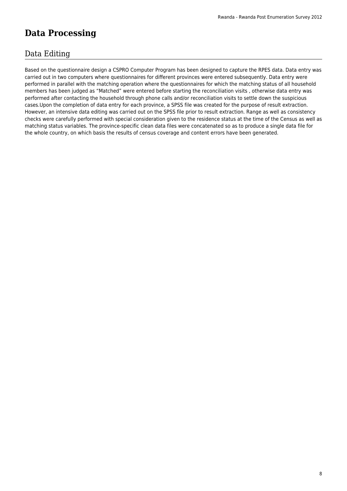# **Data Processing**

# Data Editing

Based on the questionnaire design a CSPRO Computer Program has been designed to capture the RPES data. Data entry was carried out in two computers where questionnaires for different provinces were entered subsequently. Data entry were performed in parallel with the matching operation where the questionnaires for which the matching status of all household members has been judged as "Matched" were entered before starting the reconciliation visits , otherwise data entry was performed after contacting the household through phone calls and/or reconciliation visits to settle down the suspicious cases.Upon the completion of data entry for each province, a SPSS file was created for the purpose of result extraction. However, an intensive data editing was carried out on the SPSS file prior to result extraction. Range as well as consistency checks were carefully performed with special consideration given to the residence status at the time of the Census as well as matching status variables. The province-specific clean data files were concatenated so as to produce a single data file for the whole country, on which basis the results of census coverage and content errors have been generated.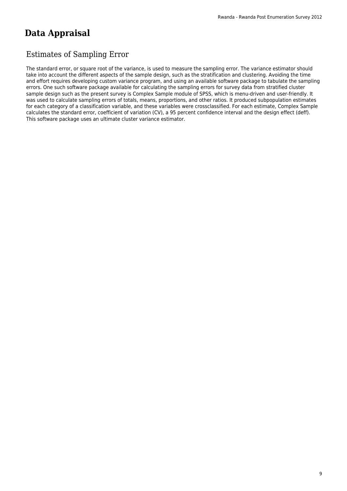# **Data Appraisal**

# Estimates of Sampling Error

The standard error, or square root of the variance, is used to measure the sampling error. The variance estimator should take into account the different aspects of the sample design, such as the stratification and clustering. Avoiding the time and effort requires developing custom variance program, and using an available software package to tabulate the sampling errors. One such software package available for calculating the sampling errors for survey data from stratified cluster sample design such as the present survey is Complex Sample module of SPSS, which is menu-driven and user-friendly. It was used to calculate sampling errors of totals, means, proportions, and other ratios. It produced subpopulation estimates for each category of a classification variable, and these variables were crossclassified. For each estimate, Complex Sample calculates the standard error, coefficient of variation (CV), a 95 percent confidence interval and the design effect (deff). This software package uses an ultimate cluster variance estimator.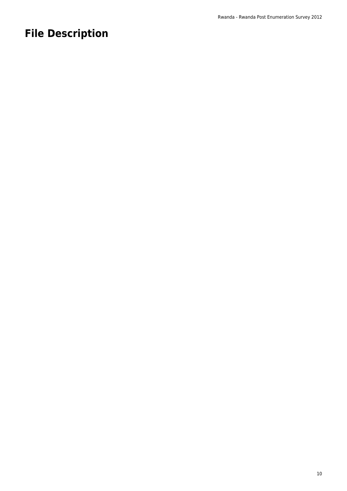# **File Description**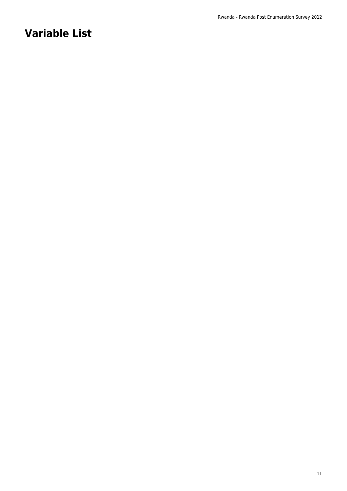# **Variable List**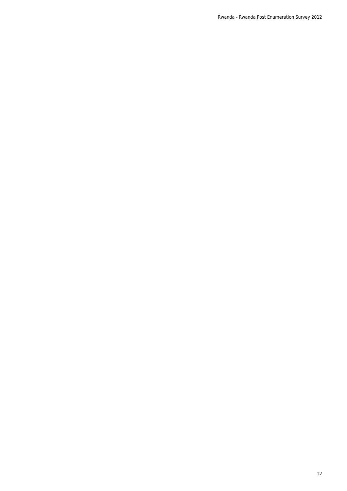Rwanda - Rwanda Post Enumeration Survey 2012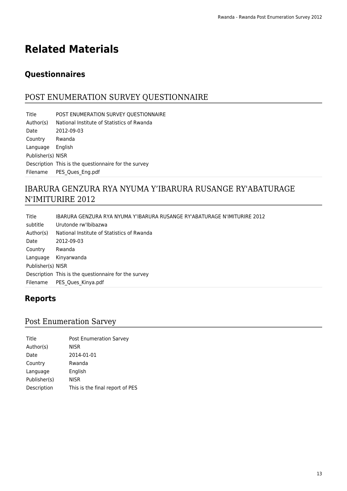# **Related Materials**

# **Questionnaires**

# POST ENUMERATION SURVEY QUESTIONNAIRE

| Title             | POST ENUMERATION SURVEY QUESTIONNAIRE                |
|-------------------|------------------------------------------------------|
| Author(s)         | National Institute of Statistics of Rwanda           |
| Date              | 2012-09-03                                           |
| Country Rwanda    |                                                      |
| Language          | English                                              |
| Publisher(s) NISR |                                                      |
|                   | Description This is the questionnaire for the survey |
|                   | Filename PES Ques Eng.pdf                            |
|                   |                                                      |

# IBARURA GENZURA RYA NYUMA Y'IBARURA RUSANGE RY'ABATURAGE N'IMITURIRE 2012

| Title             | IBARURA GENZURA RYA NYUMA Y'IBARURA RUSANGE RY'ABATURAGE N'IMITURIRE 2012 |
|-------------------|---------------------------------------------------------------------------|
| subtitle          | Urutonde rw'Ibibazwa                                                      |
| Author(s)         | National Institute of Statistics of Rwanda                                |
| Date              | 2012-09-03                                                                |
| Country           | Rwanda                                                                    |
| Language          | Kinyarwanda                                                               |
| Publisher(s) NISR |                                                                           |
|                   | Description This is the questionnaire for the survey                      |
| Filename          | PES Ques Kinya.pdf                                                        |
|                   |                                                                           |

# **Reports**

# Post Enumeration Sarvey

| Title        | <b>Post Enumeration Sarvey</b>  |
|--------------|---------------------------------|
| Author(s)    | NISR                            |
| Date         | 2014-01-01                      |
| Country      | Rwanda                          |
| Language     | English                         |
| Publisher(s) | <b>NISR</b>                     |
| Description  | This is the final report of PES |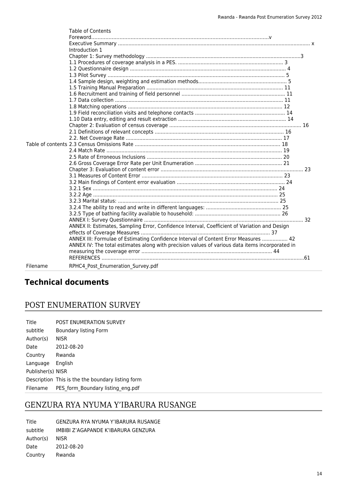|          | Table of Contents                                                                               |  |
|----------|-------------------------------------------------------------------------------------------------|--|
|          |                                                                                                 |  |
|          |                                                                                                 |  |
|          | Introduction 1                                                                                  |  |
|          |                                                                                                 |  |
|          |                                                                                                 |  |
|          |                                                                                                 |  |
|          |                                                                                                 |  |
|          |                                                                                                 |  |
|          |                                                                                                 |  |
|          |                                                                                                 |  |
|          |                                                                                                 |  |
|          |                                                                                                 |  |
|          |                                                                                                 |  |
|          |                                                                                                 |  |
|          |                                                                                                 |  |
|          |                                                                                                 |  |
|          |                                                                                                 |  |
|          |                                                                                                 |  |
|          |                                                                                                 |  |
|          |                                                                                                 |  |
|          |                                                                                                 |  |
|          |                                                                                                 |  |
|          |                                                                                                 |  |
|          |                                                                                                 |  |
|          |                                                                                                 |  |
|          |                                                                                                 |  |
|          |                                                                                                 |  |
|          |                                                                                                 |  |
|          |                                                                                                 |  |
|          |                                                                                                 |  |
|          | ANNEX II: Estimates, Sampling Error, Confidence Interval, Coefficient of Variation and Design   |  |
|          |                                                                                                 |  |
|          | ANNEX III: Formulae of Estimating Confidence Interval of Content Error Measures  42             |  |
|          | ANNEX IV: The total estimates along with precision values of various data items incorporated in |  |
|          |                                                                                                 |  |
|          |                                                                                                 |  |
| Filename |                                                                                                 |  |
|          | RPHC4 Post Enumeration Survey.pdf                                                               |  |

# **Technical documents**

# POST ENUMERATION SURVEY

| Title             | POST ENUMERATION SURVEY                           |
|-------------------|---------------------------------------------------|
| subtitle          | Boundary listing Form                             |
| Author(s)         | <b>NISR</b>                                       |
| Date              | 2012-08-20                                        |
| Country           | Rwanda                                            |
| Language          | English                                           |
| Publisher(s) NISR |                                                   |
|                   | Description This is the the boundary listing form |
| Filename          | PES form Boundary listing eng.pdf                 |

# GENZURA RYA NYUMA Y'IBARURA RUSANGE

Title GENZURA RYA NYUMA Y'IBARURA RUSANGE subtitle IMBIBI Z'AGAPANDE K'IBARURA GENZURA Author(s) NISR Date 2012-08-20 Country Rwanda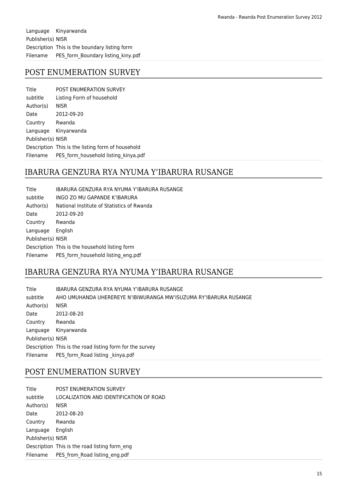Language Kinyarwanda Publisher(s) NISR Description This is the boundary listing form Filename PES\_form\_Boundary listing\_kiny.pdf

### POST ENUMERATION SURVEY

| Title             | POST ENUMERATION SURVEY                           |
|-------------------|---------------------------------------------------|
| subtitle          | Listing Form of household                         |
| Author(s)         | NISR                                              |
| Date              | 2012-09-20                                        |
| Country           | Rwanda                                            |
| Language          | Kinyarwanda                                       |
| Publisher(s) NISR |                                                   |
|                   | Description This is the listing form of household |
|                   | Filename PES form household listing kinya.pdf     |

# IBARURA GENZURA RYA NYUMA Y'IBARURA RUSANGE

| Title             | IBARURA GENZURA RYA NYUMA Y'IBARURA RUSANGE    |
|-------------------|------------------------------------------------|
| subtitle          | INGO ZO MU GAPANDE K'IBARURA                   |
| Author(s)         | National Institute of Statistics of Rwanda     |
| Date              | 2012-09-20                                     |
| Country           | Rwanda                                         |
| Language          | English                                        |
| Publisher(s) NISR |                                                |
|                   | Description This is the household listing form |
|                   | Filename PES form household listing eng.pdf    |
|                   |                                                |

# IBARURA GENZURA RYA NYUMA Y'IBARURA RUSANGE

| Title             | IBARURA GENZURA RYA NYUMA Y'IBARURA RUSANGE                       |
|-------------------|-------------------------------------------------------------------|
| subtitle          | AHO UMUHANDA UHEREREYE N'IBIWURANGA MW'ISUZUMA RY'IBARURA RUSANGE |
| Author(s)         | <b>NISR</b>                                                       |
| Date              | 2012-08-20                                                        |
| Country           | Rwanda                                                            |
| Language          | Kinyarwanda                                                       |
| Publisher(s) NISR |                                                                   |
|                   | Description This is the road listing form for the survey          |
| Filename          | PES form Road listing kinya.pdf                                   |

# POST ENUMERATION SURVEY

| Title             | POST ENUMERATION SURVEY                       |
|-------------------|-----------------------------------------------|
| subtitle          | LOCALIZATION AND IDENTIFICATION OF ROAD       |
| Author(s)         | <b>NISR</b>                                   |
| Date              | 2012-08-20                                    |
| Country Rwanda    |                                               |
| Language          | English                                       |
| Publisher(s) NISR |                                               |
|                   | Description This is the road listing form eng |
|                   | Filename PES from Road listing eng.pdf        |
|                   |                                               |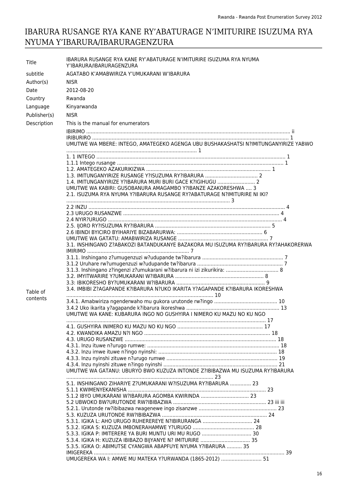# IBARURA RUSANGE RYA KANE RY'ABATURAGE N'IMITURIRE ISUZUMA RYA NYUMA Y'IBARURA/IBARURAGENZURA

| Title        | IBARURA RUSANGE RYA KANE RY'ABATURAGE N'IMITURIRE ISUZUMA RYA NYUMA<br>Y'IBARURA/IBARURAGENZURA                                            |
|--------------|--------------------------------------------------------------------------------------------------------------------------------------------|
| subtitle     | AGATABO K'AMABWIRIZA Y'UMUKARANI W'IBARURA                                                                                                 |
| Author(s)    | <b>NISR</b>                                                                                                                                |
| Date         | 2012-08-20                                                                                                                                 |
| Country      | Rwanda                                                                                                                                     |
| Language     | Kinyarwanda                                                                                                                                |
| Publisher(s) | <b>NISR</b>                                                                                                                                |
| Description  | This is the manual for enumerators                                                                                                         |
|              |                                                                                                                                            |
|              |                                                                                                                                            |
|              | UMUTWE WA MBERE: INTEGO, AMATEGEKO AGENGA UBU BUSHAKASHATSI N?IMITUNGANYIRIZE YABWO                                                        |
|              |                                                                                                                                            |
|              |                                                                                                                                            |
|              |                                                                                                                                            |
|              |                                                                                                                                            |
|              | 1.4. IMITUNGANYIRIZE Y?IBARURA MURI BURI GACE K?IGIHUGU  2                                                                                 |
|              | UMUTWE WA KABIRI: GUSOBANURA AMAGAMBO Y?IBANZE AZAKORESHWA  3<br>2.1. ISUZUMA RYA NYUMA Y?IBARURA RUSANGE RY?ABATURAGE N?IMITURIRE NI IKI? |
|              |                                                                                                                                            |
|              |                                                                                                                                            |
|              |                                                                                                                                            |
|              |                                                                                                                                            |
|              |                                                                                                                                            |
|              | 3.1. INSHINGANO Z?ABAKOZI BATANDUKANYE BAZAKORA MU ISUZUMA RY?IBARURA RY?AHAKORERWA                                                        |
|              |                                                                                                                                            |
|              |                                                                                                                                            |
|              |                                                                                                                                            |
|              | 3.1.3. Inshingano z?ingenzi z?umukarani w?ibarura ni izi zikurikira:  8                                                                    |
|              |                                                                                                                                            |
|              | 3.4. IMBIBI Z?AGAPANDE K?IBARURA N?UKO IKARITA Y?AGAPANDE K?IBARURA IKORESHWA                                                              |
| Table of     |                                                                                                                                            |
| contents     |                                                                                                                                            |
|              |                                                                                                                                            |
|              | UMUTWE WA KANE: KUBARURA INGO NO GUSHYIRA I NIMERO KU MAZU NO KU NGO                                                                       |
|              |                                                                                                                                            |
|              |                                                                                                                                            |
|              |                                                                                                                                            |
|              |                                                                                                                                            |
|              |                                                                                                                                            |
|              |                                                                                                                                            |
|              | UMUTWE WA GATANU: UBURYO BWO KUZUZA INTONDE Z?IBIBAZWA MU ISUZUMA RY?IBARURA                                                               |
|              |                                                                                                                                            |
|              | 5.1. INSHINGANO ZIHARIYE Z?UMUKARANI W?ISUZUMA RY?IBARURA  23                                                                              |
|              |                                                                                                                                            |
|              | 5.1.2 IBYO UMUKARANI W?IBARURA AGOMBA KWIRINDA  23                                                                                         |
|              |                                                                                                                                            |
|              |                                                                                                                                            |
|              |                                                                                                                                            |
|              |                                                                                                                                            |
|              | 5.3.3. IGIKA P: IMITERERE YA BURI MUNTU URI MU RUGO  30                                                                                    |
|              | 5.3.4. IGIKA H: KUZUZA IBIBAZO BIJYANYE N? IMITURIRE  35                                                                                   |
|              | 5.3.5. IGIKA O: ABIMUTSE CYANGWA ABAPFUYE NYUMA Y?IBARURA  35                                                                              |
|              | UMUGEREKA WA I: AMWE MU MATEKA Y?URWANDA (1865-2012)  51                                                                                   |
|              |                                                                                                                                            |